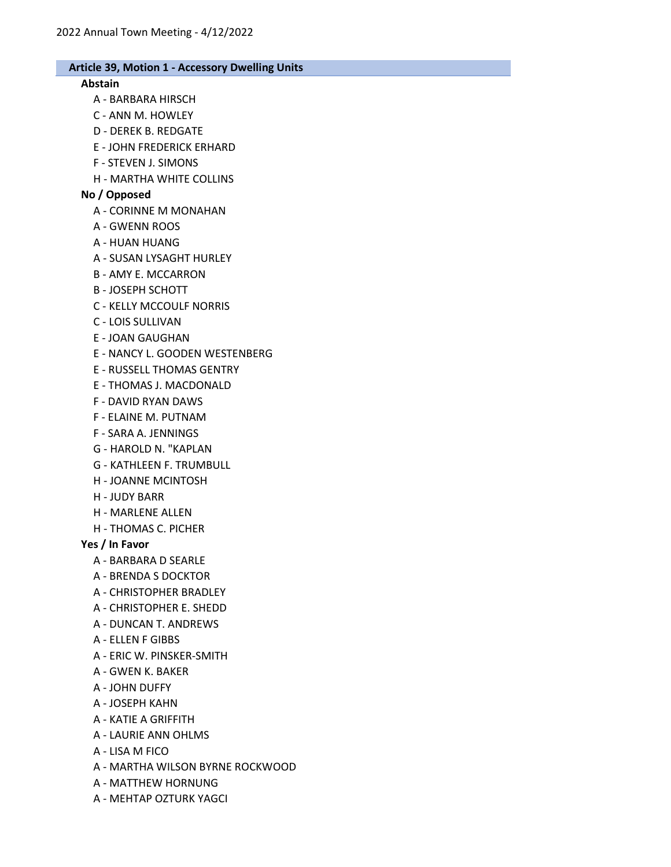#### Abstain

- A BARBARA HIRSCH
- C ANN M. HOWLEY
- D DEREK B. REDGATE
- E JOHN FREDERICK ERHARD
- F STEVEN J. SIMONS
- H MARTHA WHITE COLLINS

## No / Opposed

- A CORINNE M MONAHAN
- A GWENN ROOS
- A HUAN HUANG
- A SUSAN LYSAGHT HURLEY
- B AMY E. MCCARRON
- B JOSEPH SCHOTT
- C KELLY MCCOULF NORRIS
- C LOIS SULLIVAN
- E JOAN GAUGHAN
- E NANCY L. GOODEN WESTENBERG
- E RUSSELL THOMAS GENTRY
- E THOMAS J. MACDONALD
- F DAVID RYAN DAWS
- F ELAINE M. PUTNAM
- F SARA A. JENNINGS
- G HAROLD N. "KAPLAN
- G KATHLEEN F. TRUMBULL
- H JOANNE MCINTOSH
- H JUDY BARR
- H MARLENE ALLEN
- H THOMAS C. PICHER

### Yes / In Favor

- A BARBARA D SEARLE
- A BRENDA S DOCKTOR
- A CHRISTOPHER BRADLEY
- A CHRISTOPHER E. SHEDD
- A DUNCAN T. ANDREWS
- A ELLEN F GIBBS
- A ERIC W. PINSKER-SMITH
- A GWEN K. BAKER
- A JOHN DUFFY
- A JOSEPH KAHN
- A KATIE A GRIFFITH
- A LAURIE ANN OHLMS
- A LISA M FICO
- A MARTHA WILSON BYRNE ROCKWOOD
- A MATTHEW HORNUNG
- A MEHTAP OZTURK YAGCI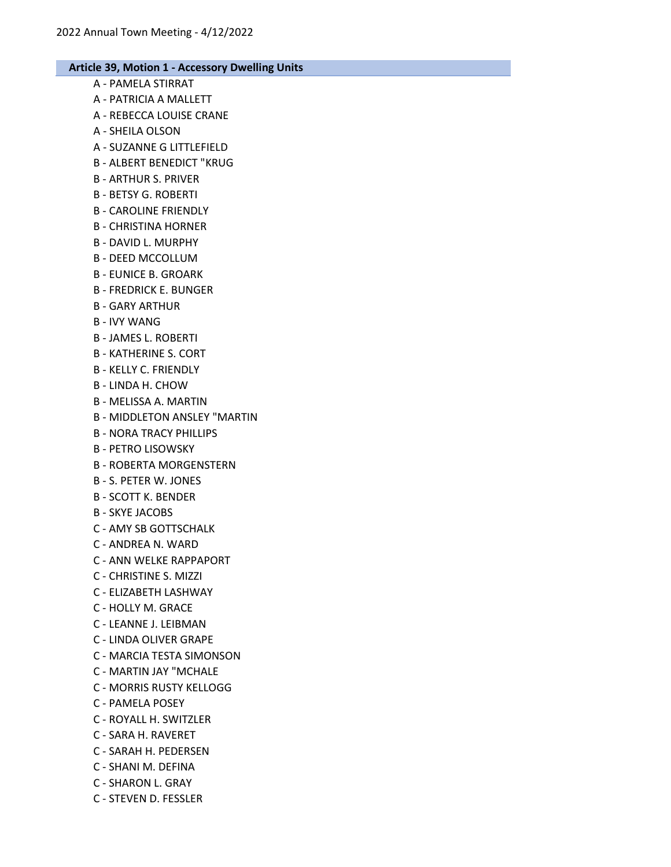# Article 39, Motion 1 - Accessory Dwelling Units A - PAMELA STIRRAT A - PATRICIA A MALLETT A - REBECCA LOUISE CRANE A - SHEILA OLSON A - SUZANNE G LITTLEFIELD B - ALBERT BENEDICT "KRUG B - ARTHUR S. PRIVER B - BETSY G. ROBERTI B - CAROLINE FRIENDLY B - CHRISTINA HORNER B - DAVID L. MURPHY B - DEED MCCOLLUM B - EUNICE B. GROARK B - FREDRICK E. BUNGER B - GARY ARTHUR B - IVY WANG B - JAMES L. ROBERTI B - KATHERINE S. CORT B - KELLY C. FRIENDLY B - LINDA H. CHOW B - MELISSA A. MARTIN B - MIDDLETON ANSLEY "MARTIN B - NORA TRACY PHILLIPS B - PETRO LISOWSKY B - ROBERTA MORGENSTERN B - S. PETER W. JONES B - SCOTT K. BENDER B - SKYE JACOBS C - AMY SB GOTTSCHALK C - ANDREA N. WARD C - ANN WELKE RAPPAPORT C - CHRISTINE S. MIZZI C - ELIZABETH LASHWAY C - HOLLY M. GRACE C - LEANNE J. LEIBMAN C - LINDA OLIVER GRAPE C - MARCIA TESTA SIMONSON C - MARTIN JAY "MCHALE C - MORRIS RUSTY KELLOGG C - PAMELA POSEY C - ROYALL H. SWITZLER C - SARA H. RAVERET C - SARAH H. PEDERSEN C - SHANI M. DEFINA C - SHARON L. GRAY

C - STEVEN D. FESSLER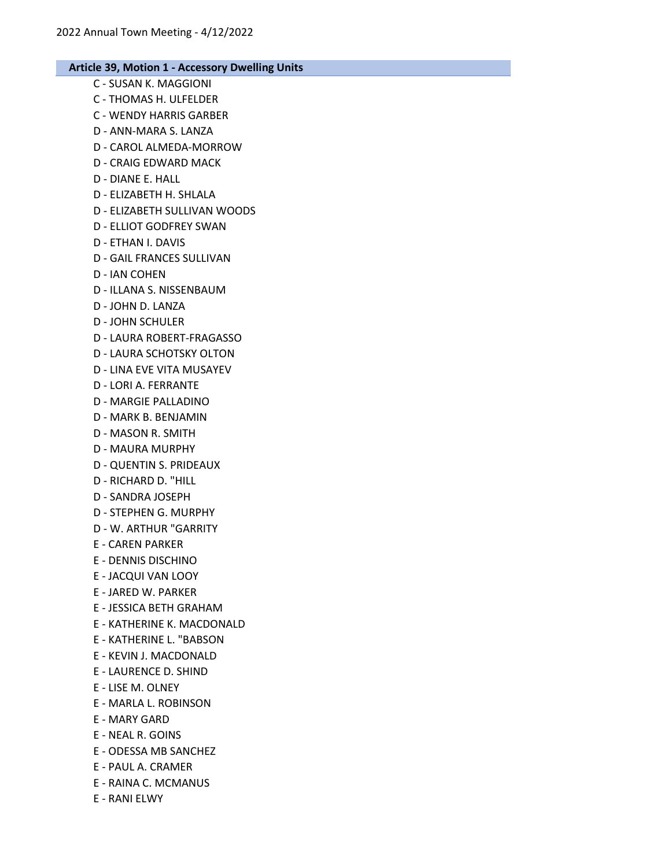- C SUSAN K. MAGGIONI C - THOMAS H. ULFELDER C - WENDY HARRIS GARBER D - ANN-MARA S. LANZA D - CAROL ALMEDA-MORROW D - CRAIG EDWARD MACK D - DIANE E. HALL D - ELIZABETH H. SHLALA D - ELIZABETH SULLIVAN WOODS D - ELLIOT GODFREY SWAN D - ETHAN I. DAVIS D - GAIL FRANCES SULLIVAN D - IAN COHEN D - ILLANA S. NISSENBAUM D - JOHN D. LANZA D - JOHN SCHULER D - LAURA ROBERT-FRAGASSO D - LAURA SCHOTSKY OLTON D - LINA EVE VITA MUSAYEV D - LORI A. FERRANTE D - MARGIE PALLADINO D - MARK B. BENJAMIN D - MASON R. SMITH D - MAURA MURPHY D - QUENTIN S. PRIDEAUX D - RICHARD D. "HILL D - SANDRA JOSEPH D - STEPHEN G. MURPHY
	- D W. ARTHUR "GARRITY
	- E CAREN PARKER
	- E DENNIS DISCHINO
	- E JACQUI VAN LOOY
	- E JARED W. PARKER
	- E JESSICA BETH GRAHAM
	- E KATHERINE K. MACDONALD
	- E KATHERINE L. "BABSON
	- E KEVIN J. MACDONALD
	- E LAURENCE D. SHIND
	- E LISE M. OLNEY
	- E MARLA L. ROBINSON
	- E MARY GARD
	- E NEAL R. GOINS
	- E ODESSA MB SANCHEZ
	- E PAUL A. CRAMER
	- E RAINA C. MCMANUS
	- E RANI ELWY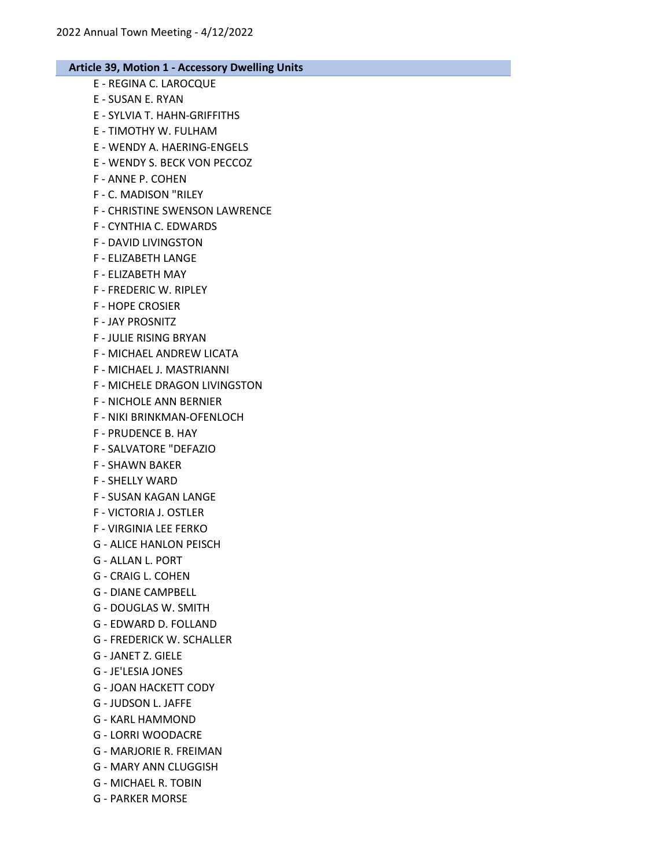- E REGINA C. LAROCQUE E - SUSAN E. RYAN E - SYLVIA T. HAHN-GRIFFITHS E - TIMOTHY W. FULHAM E - WENDY A. HAERING-ENGELS E - WENDY S. BECK VON PECCOZ F - ANNE P. COHEN F - C. MADISON "RILEY F - CHRISTINE SWENSON LAWRENCE F - CYNTHIA C. EDWARDS F - DAVID LIVINGSTON F - ELIZABETH LANGE F - ELIZABETH MAY F - FREDERIC W. RIPLEY F - HOPE CROSIER F - JAY PROSNITZ F - JULIE RISING BRYAN F - MICHAEL ANDREW LICATA F - MICHAEL J. MASTRIANNI F - MICHELE DRAGON LIVINGSTON F - NICHOLE ANN BERNIER F - NIKI BRINKMAN-OFENLOCH F - PRUDENCE B. HAY F - SALVATORE "DEFAZIO F - SHAWN BAKER F - SHELLY WARD F - SUSAN KAGAN LANGE F - VICTORIA J. OSTLER F - VIRGINIA LEE FERKO G - ALICE HANLON PEISCH G - ALLAN L. PORT G - CRAIG L. COHEN G - DIANE CAMPBELL G - DOUGLAS W. SMITH G - EDWARD D. FOLLAND G - FREDERICK W. SCHALLER G - JANET Z. GIELE G - JE'LESIA JONES G - JOAN HACKETT CODY G - JUDSON L. JAFFE G - KARL HAMMOND G - LORRI WOODACRE G - MARJORIE R. FREIMAN G - MARY ANN CLUGGISH G - MICHAEL R. TOBIN
- G PARKER MORSE